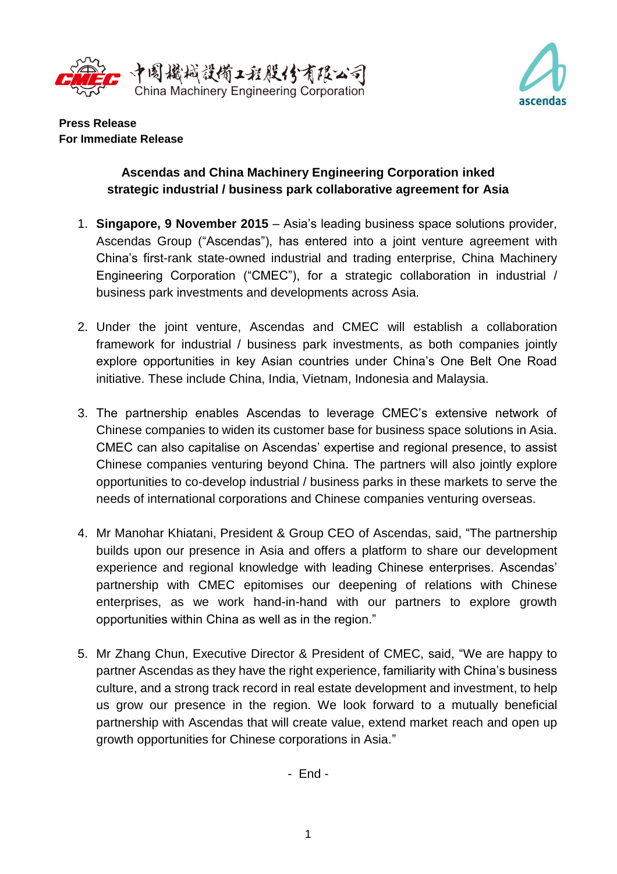



**Press Release For Immediate Release**

## **Ascendas and China Machinery Engineering Corporation inked strategic industrial / business park collaborative agreement for Asia**

- 1. **Singapore, 9 November 2015** Asia's leading business space solutions provider, Ascendas Group ("Ascendas"), has entered into a joint venture agreement with China's first-rank state-owned industrial and trading enterprise, China Machinery Engineering Corporation ("CMEC"), for a strategic collaboration in industrial / business park investments and developments across Asia.
- 2. Under the joint venture, Ascendas and CMEC will establish a collaboration framework for industrial / business park investments, as both companies jointly explore opportunities in key Asian countries under China's One Belt One Road initiative. These include China, India, Vietnam, Indonesia and Malaysia.
- 3. The partnership enables Ascendas to leverage CMEC's extensive network of Chinese companies to widen its customer base for business space solutions in Asia. CMEC can also capitalise on Ascendas' expertise and regional presence, to assist Chinese companies venturing beyond China. The partners will also jointly explore opportunities to co-develop industrial / business parks in these markets to serve the needs of international corporations and Chinese companies venturing overseas.
- 4. Mr Manohar Khiatani, President & Group CEO of Ascendas, said, "The partnership builds upon our presence in Asia and offers a platform to share our development experience and regional knowledge with leading Chinese enterprises. Ascendas' partnership with CMEC epitomises our deepening of relations with Chinese enterprises, as we work hand-in-hand with our partners to explore growth opportunities within China as well as in the region."
- 5. Mr Zhang Chun, Executive Director & President of CMEC, said, "We are happy to partner Ascendas as they have the right experience, familiarity with China's business culture, and a strong track record in real estate development and investment, to help us grow our presence in the region. We look forward to a mutually beneficial partnership with Ascendas that will create value, extend market reach and open up growth opportunities for Chinese corporations in Asia."

- End -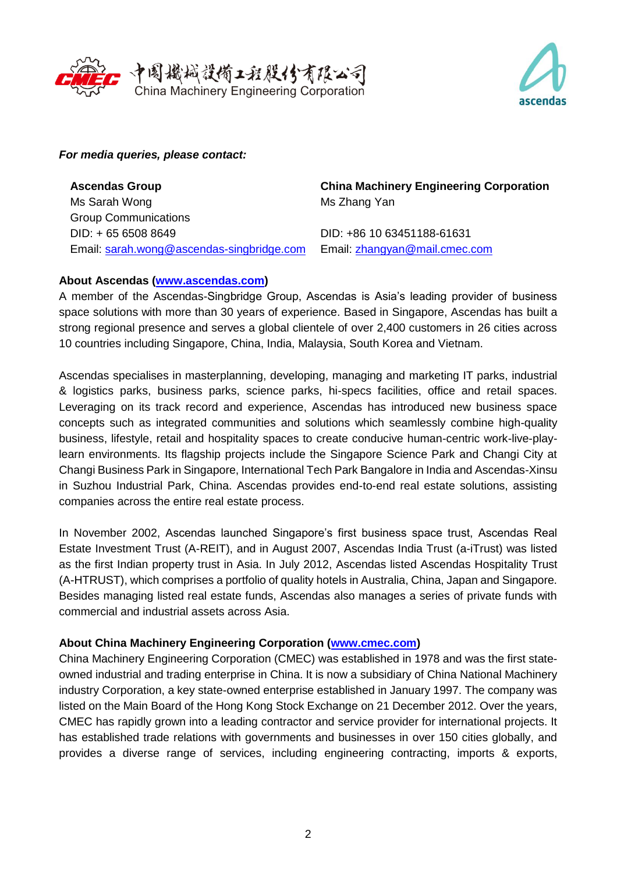



## *For media queries, please contact:*

**Ascendas Group** Ms Sarah Wong Group Communications DID: + 65 6508 8649 Email: [sarah.wong@ascendas-singbridge.com](mailto:sarah.wong@ascendas-singbridge.com)

**China Machinery Engineering Corporation** Ms Zhang Yan

DID: +86 10 63451188-61631 Email: [zhangyan@mail.cmec.com](mailto:zhangyan@mail.cmec.com)

## **About Ascendas [\(www.ascendas.com\)](http://www.ascendas.com/)**

A member of the Ascendas-Singbridge Group, Ascendas is Asia's leading provider of business space solutions with more than 30 years of experience. Based in Singapore, Ascendas has built a strong regional presence and serves a global clientele of over 2,400 customers in 26 cities across 10 countries including Singapore, China, India, Malaysia, South Korea and Vietnam.

Ascendas specialises in masterplanning, developing, managing and marketing IT parks, industrial & logistics parks, business parks, science parks, hi-specs facilities, office and retail spaces. Leveraging on its track record and experience, Ascendas has introduced new business space concepts such as integrated communities and solutions which seamlessly combine high-quality business, lifestyle, retail and hospitality spaces to create conducive human-centric work-live-playlearn environments. Its flagship projects include the Singapore Science Park and Changi City at Changi Business Park in Singapore, International Tech Park Bangalore in India and Ascendas-Xinsu in Suzhou Industrial Park, China. Ascendas provides end-to-end real estate solutions, assisting companies across the entire real estate process.

In November 2002, Ascendas launched Singapore's first business space trust, Ascendas Real Estate Investment Trust (A-REIT), and in August 2007, Ascendas India Trust (a-iTrust) was listed as the first Indian property trust in Asia. In July 2012, Ascendas listed Ascendas Hospitality Trust (A-HTRUST), which comprises a portfolio of quality hotels in Australia, China, Japan and Singapore. Besides managing listed real estate funds, Ascendas also manages a series of private funds with commercial and industrial assets across Asia.

## **About China Machinery Engineering Corporation [\(www.cmec.com\)](http://www.cmec.com/)**

China Machinery Engineering Corporation (CMEC) was established in 1978 and was the first stateowned industrial and trading enterprise in China. It is now a subsidiary of China National Machinery industry Corporation, a key state-owned enterprise established in January 1997. The company was listed on the Main Board of the Hong Kong Stock Exchange on 21 December 2012. Over the years, CMEC has rapidly grown into a leading contractor and service provider for international projects. It has established trade relations with governments and businesses in over 150 cities globally, and provides a diverse range of services, including engineering contracting, imports & exports,